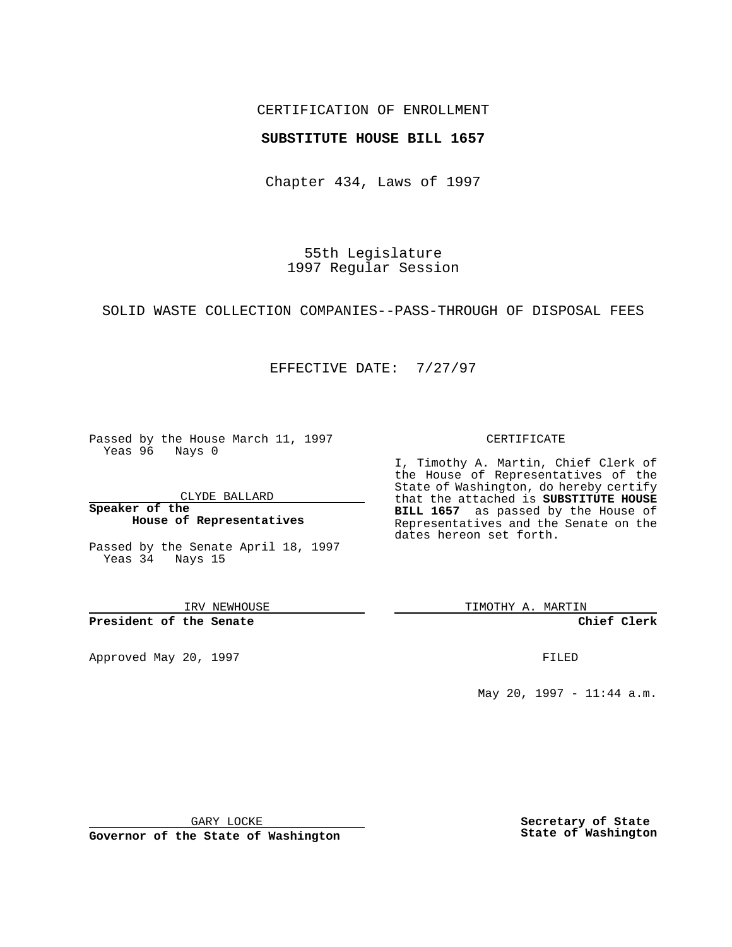## CERTIFICATION OF ENROLLMENT

## **SUBSTITUTE HOUSE BILL 1657**

Chapter 434, Laws of 1997

55th Legislature 1997 Regular Session

SOLID WASTE COLLECTION COMPANIES--PASS-THROUGH OF DISPOSAL FEES

## EFFECTIVE DATE: 7/27/97

Passed by the House March 11, 1997 Yeas 96 Nays 0

CLYDE BALLARD

**Speaker of the House of Representatives**

Passed by the Senate April 18, 1997 Yeas 34 Nays 15

IRV NEWHOUSE

**President of the Senate**

Approved May 20, 1997 **FILED** 

#### CERTIFICATE

I, Timothy A. Martin, Chief Clerk of the House of Representatives of the State of Washington, do hereby certify that the attached is **SUBSTITUTE HOUSE BILL 1657** as passed by the House of Representatives and the Senate on the dates hereon set forth.

TIMOTHY A. MARTIN

**Chief Clerk**

May 20, 1997 - 11:44 a.m.

GARY LOCKE

**Governor of the State of Washington**

**Secretary of State State of Washington**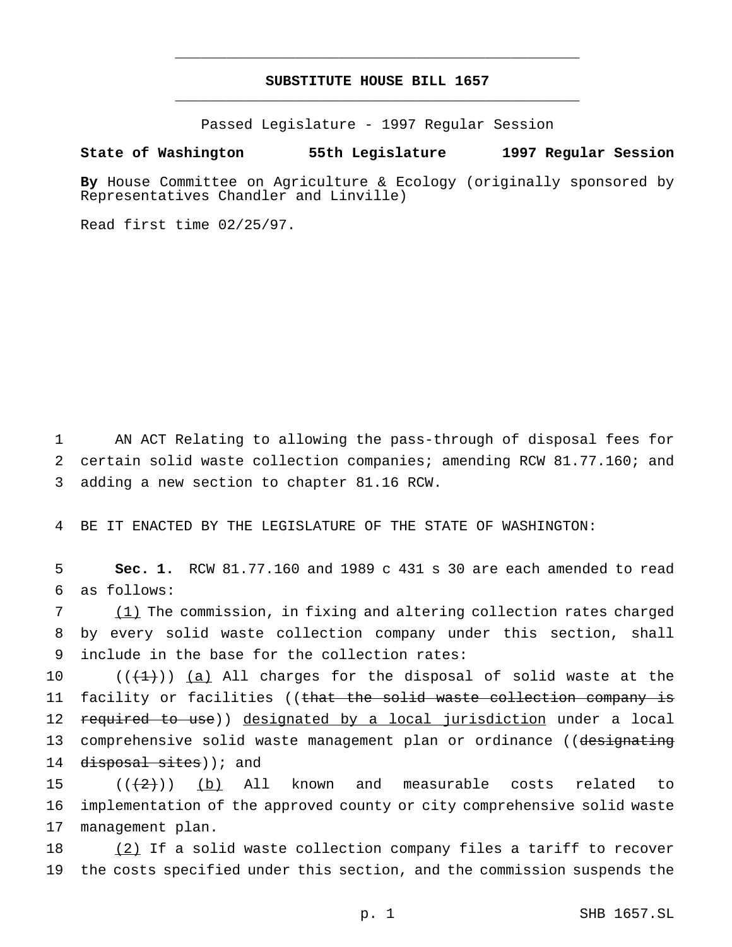# **SUBSTITUTE HOUSE BILL 1657** \_\_\_\_\_\_\_\_\_\_\_\_\_\_\_\_\_\_\_\_\_\_\_\_\_\_\_\_\_\_\_\_\_\_\_\_\_\_\_\_\_\_\_\_\_\_\_

\_\_\_\_\_\_\_\_\_\_\_\_\_\_\_\_\_\_\_\_\_\_\_\_\_\_\_\_\_\_\_\_\_\_\_\_\_\_\_\_\_\_\_\_\_\_\_

Passed Legislature - 1997 Regular Session

## **State of Washington 55th Legislature 1997 Regular Session**

**By** House Committee on Agriculture & Ecology (originally sponsored by Representatives Chandler and Linville)

Read first time 02/25/97.

1 AN ACT Relating to allowing the pass-through of disposal fees for 2 certain solid waste collection companies; amending RCW 81.77.160; and 3 adding a new section to chapter 81.16 RCW.

4 BE IT ENACTED BY THE LEGISLATURE OF THE STATE OF WASHINGTON:

5 **Sec. 1.** RCW 81.77.160 and 1989 c 431 s 30 are each amended to read 6 as follows:

7 (1) The commission, in fixing and altering collection rates charged 8 by every solid waste collection company under this section, shall 9 include in the base for the collection rates:

10  $((+1))$  (a) All charges for the disposal of solid waste at the 11 facility or facilities ((that the solid waste collection company is 12 required to use)) designated by a local jurisdiction under a local 13 comprehensive solid waste management plan or ordinance ((designating 14 disposal sites)); and

15  $((+2)^{n})$  (b) All known and measurable costs related to 16 implementation of the approved county or city comprehensive solid waste 17 management plan.

18 (2) If a solid waste collection company files a tariff to recover 19 the costs specified under this section, and the commission suspends the